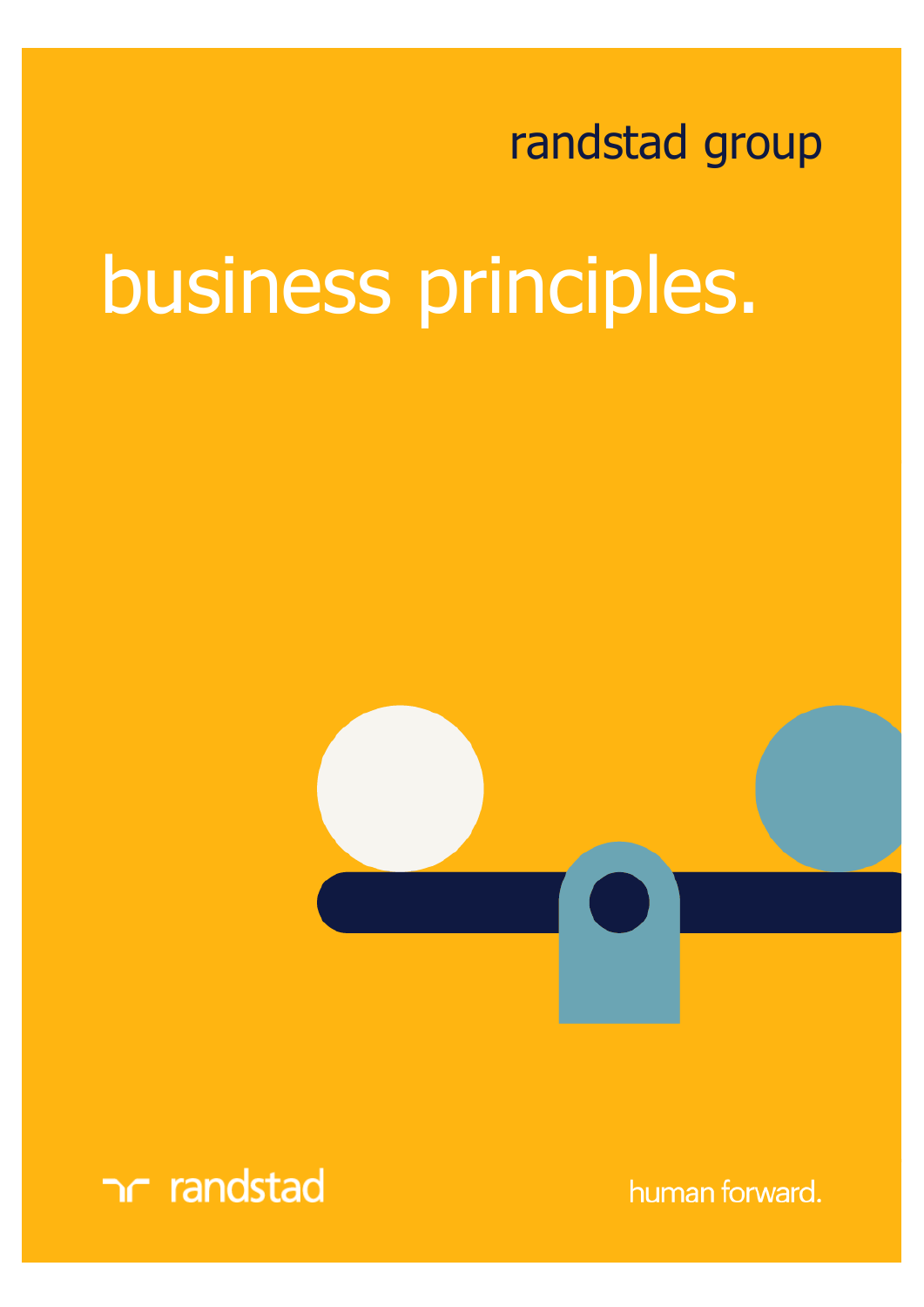## randstad group

## business principles.





human forward.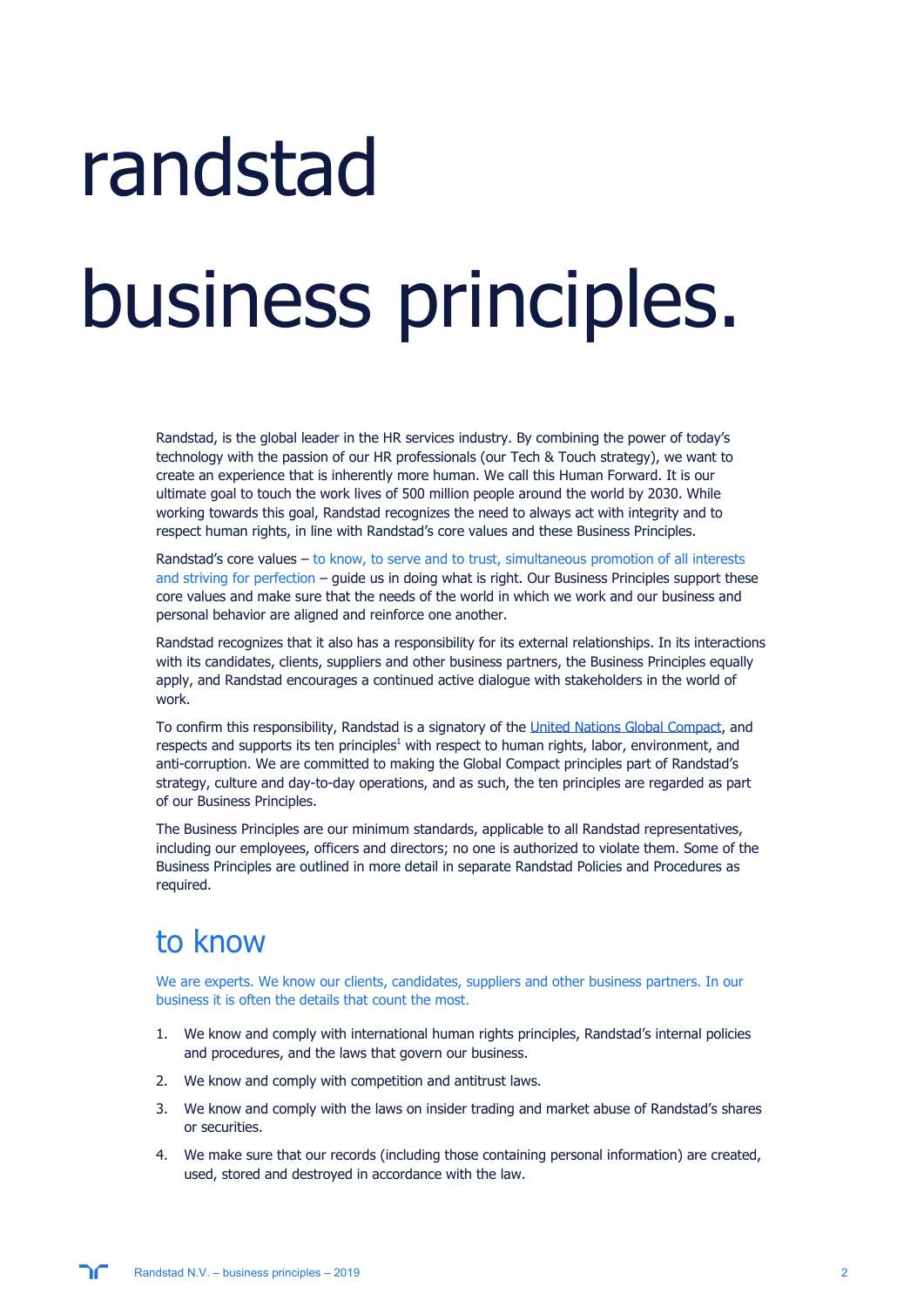# randstad business principles.

Randstad, is the global leader in the HR services industry. By combining the power of today's technology with the passion of our HR professionals (our Tech & Touch strategy), we want to create an experience that is inherently more human. We call this Human Forward. It is our ultimate goal to touch the work lives of 500 million people around the world by 2030. While working towards this goal, Randstad recognizes the need to always act with integrity and to respect human rights, in line with Randstad's core values and these Business Principles.

Randstad's core values – to know, to serve and to trust, simultaneous promotion of all interests and striving for perfection – guide us in doing what is right. Our Business Principles support these core values and make sure that the needs of the world in which we work and our business and personal behavior are aligned and reinforce one another.

Randstad recognizes that it also has a responsibility for its external relationships. In its interactions with its candidates, clients, suppliers and other business partners, the Business Principles equally apply, and Randstad encourages a continued active dialogue with stakeholders in the world of work.

To confirm this responsibility, Randstad is a signatory of the [United Nations Global Compact](https://www.unglobalcompact.org/), and respects and supports its ten principles<sup>1</sup> with respect to human rights, labor, environment, and anti-corruption. We are committed to making the Global Compact principles part of Randstad's strategy, culture and day-to-day operations, and as such, the ten principles are regarded as part of our Business Principles.

The Business Principles are our minimum standards, applicable to all Randstad representatives, including our employees, officers and directors; no one is authorized to violate them. Some of the Business Principles are outlined in more detail in separate Randstad Policies and Procedures as required.

## to know

We are experts. We know our clients, candidates, suppliers and other business partners. In our business it is often the details that count the most.

- 1. We know and comply with international human rights principles, Randstad's internal policies and procedures, and the laws that govern our business.
- 2. We know and comply with competition and antitrust laws.
- 3. We know and comply with the laws on insider trading and market abuse of Randstad's shares or securities.
- 4. We make sure that our records (including those containing personal information) are created, used, stored and destroyed in accordance with the law.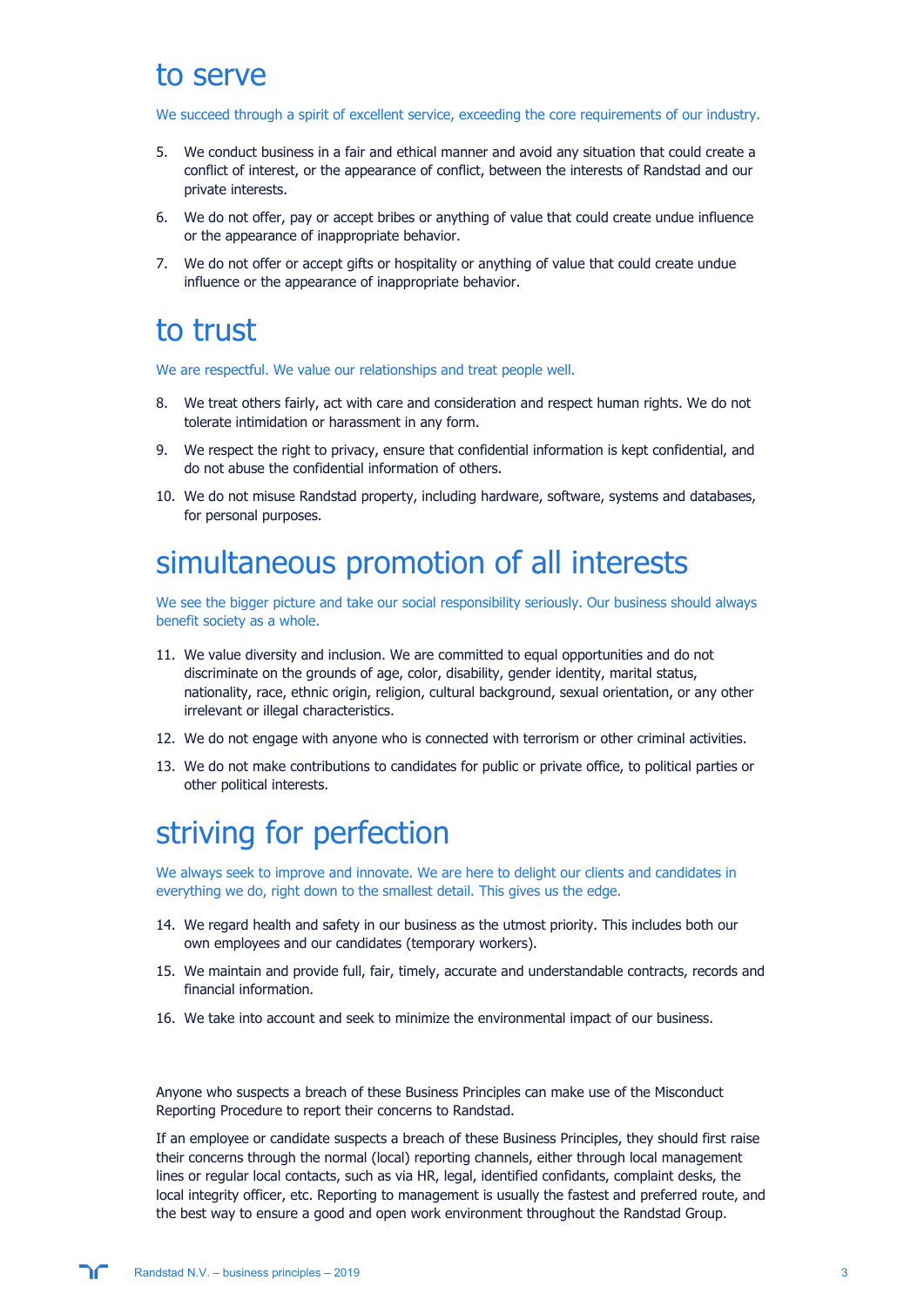### to serve

We succeed through a spirit of excellent service, exceeding the core requirements of our industry.

- 5. We conduct business in a fair and ethical manner and avoid any situation that could create a conflict of interest, or the appearance of conflict, between the interests of Randstad and our private interests.
- 6. We do not offer, pay or accept bribes or anything of value that could create undue influence or the appearance of inappropriate behavior.
- 7. We do not offer or accept gifts or hospitality or anything of value that could create undue influence or the appearance of inappropriate behavior.

## to trust

We are respectful. We value our relationships and treat people well.

- 8. We treat others fairly, act with care and consideration and respect human rights. We do not tolerate intimidation or harassment in any form.
- 9. We respect the right to privacy, ensure that confidential information is kept confidential, and do not abuse the confidential information of others.
- 10. We do not misuse Randstad property, including hardware, software, systems and databases, for personal purposes.

## simultaneous promotion of all interests

We see the bigger picture and take our social responsibility seriously. Our business should always benefit society as a whole.

- 11. We value diversity and inclusion. We are committed to equal opportunities and do not discriminate on the grounds of age, color, disability, gender identity, marital status, nationality, race, ethnic origin, religion, cultural background, sexual orientation, or any other irrelevant or illegal characteristics.
- 12. We do not engage with anyone who is connected with terrorism or other criminal activities.
- 13. We do not make contributions to candidates for public or private office, to political parties or other political interests.

## striving for perfection

We always seek to improve and innovate. We are here to delight our clients and candidates in everything we do, right down to the smallest detail. This gives us the edge.

- 14. We regard health and safety in our business as the utmost priority. This includes both our own employees and our candidates (temporary workers).
- 15. We maintain and provide full, fair, timely, accurate and understandable contracts, records and financial information.
- 16. We take into account and seek to minimize the environmental impact of our business.

Anyone who suspects a breach of these Business Principles can make use of the Misconduct Reporting Procedure to report their concerns to Randstad.

If an employee or candidate suspects a breach of these Business Principles, they should first raise their concerns through the normal (local) reporting channels, either through local management lines or regular local contacts, such as via HR, legal, identified confidants, complaint desks, the local integrity officer, etc. Reporting to management is usually the fastest and preferred route, and the best way to ensure a good and open work environment throughout the Randstad Group.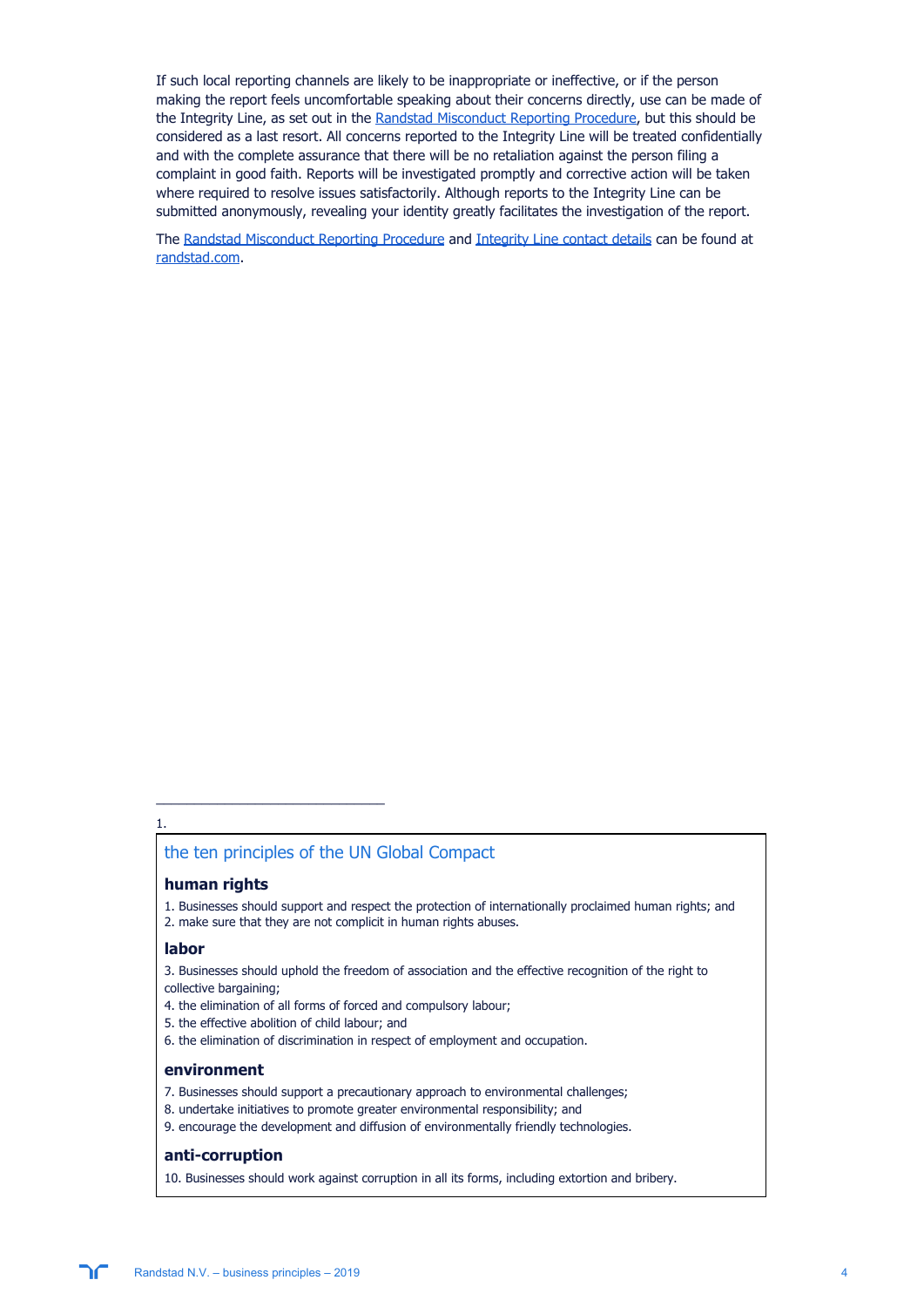If such local reporting channels are likely to be inappropriate or ineffective, or if the person making the report feels uncomfortable speaking about their concerns directly, use can be made of the Integrity Line, as set out in the [Randstad Misconduct Reporting Procedure,](https://www.randstad.com/about-randstad/corporate-governance/compliance/misconduct-reporting-procedure/) but this should be considered as a last resort. All concerns reported to the Integrity Line will be treated confidentially and with the complete assurance that there will be no retaliation against the person filing a complaint in good faith. Reports will be investigated promptly and corrective action will be taken where required to resolve issues satisfactorily. Although reports to the Integrity Line can be submitted anonymously, revealing your identity greatly facilitates the investigation of the report.

The [Randstad Misconduct Reporting Procedure](https://www.randstad.com/about-randstad/corporate-governance/compliance/misconduct-reporting-procedure/) and [Integrity Line contact details](https://cdn2.hubspot.net/hubfs/481927/Randstad%20Group%20misconduct%20reporting%20procedure_contact%20details.pdf) can be found at [randstad.com.](https://www.randstad.com/about-randstad/corporate-governance/compliance/misconduct-reporting-procedure/)

#### 1.

#### the ten principles of the UN Global Compact

#### **human rights**

1. Businesses should support and respect the protection of internationally proclaimed human rights; and 2. make sure that they are not complicit in human rights abuses.

#### **labor**

3. Businesses should uphold the freedom of association and the effective recognition of the right to collective bargaining;

- 4. the elimination of all forms of forced and compulsory labour;
- 5. the effective abolition of child labour; and

 $\frac{1}{2}$  ,  $\frac{1}{2}$  ,  $\frac{1}{2}$  ,  $\frac{1}{2}$  ,  $\frac{1}{2}$  ,  $\frac{1}{2}$  ,  $\frac{1}{2}$  ,  $\frac{1}{2}$  ,  $\frac{1}{2}$  ,  $\frac{1}{2}$  ,  $\frac{1}{2}$  ,  $\frac{1}{2}$  ,  $\frac{1}{2}$  ,  $\frac{1}{2}$  ,  $\frac{1}{2}$  ,  $\frac{1}{2}$  ,  $\frac{1}{2}$  ,  $\frac{1}{2}$  ,  $\frac{1$ 

6. the elimination of discrimination in respect of employment and occupation.

#### **environment**

- 7. Businesses should support a precautionary approach to environmental challenges;
- 8. undertake initiatives to promote greater environmental responsibility; and
- 9. encourage the development and diffusion of environmentally friendly technologies.

#### **anti-corruption**

10. Businesses should work against corruption in all its forms, including extortion and bribery.